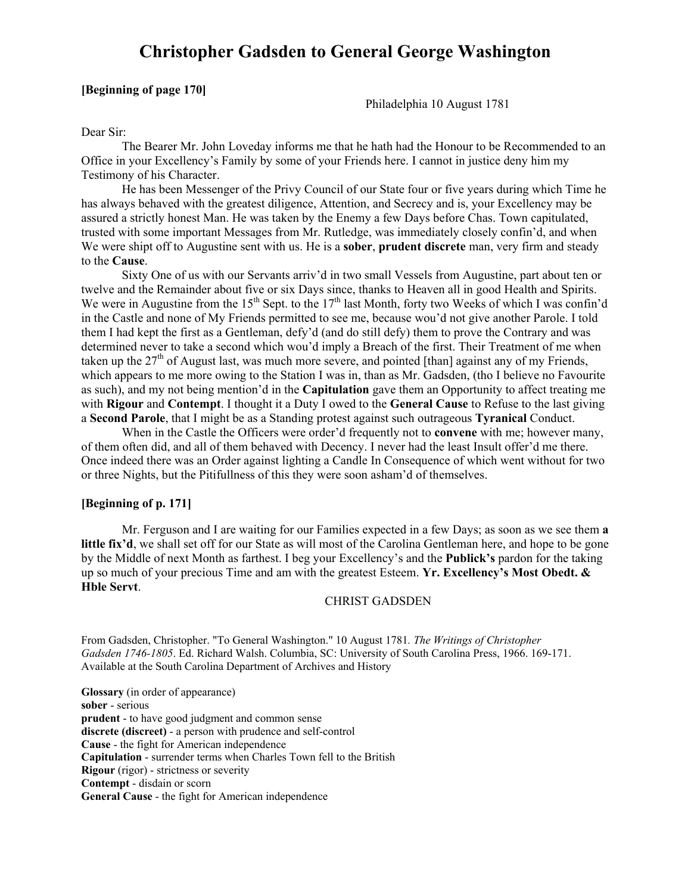## **Christopher Gadsden to General George Washington**

**[Beginning of page 170]**

Philadelphia 10 August 1781

## Dear Sir:

The Bearer Mr. John Loveday informs me that he hath had the Honour to be Recommended to an Office in your Excellency's Family by some of your Friends here. I cannot in justice deny him my Testimony of his Character.

He has been Messenger of the Privy Council of our State four or five years during which Time he has always behaved with the greatest diligence, Attention, and Secrecy and is, your Excellency may be assured a strictly honest Man. He was taken by the Enemy a few Days before Chas. Town capitulated, trusted with some important Messages from Mr. Rutledge, was immediately closely confin'd, and when We were shipt off to Augustine sent with us. He is a **sober**, **prudent discrete** man, very firm and steady to the **Cause**.

Sixty One of us with our Servants arriv'd in two small Vessels from Augustine, part about ten or twelve and the Remainder about five or six Days since, thanks to Heaven all in good Health and Spirits. We were in Augustine from the 15<sup>th</sup> Sept. to the 17<sup>th</sup> last Month, forty two Weeks of which I was confin'd in the Castle and none of My Friends permitted to see me, because wou'd not give another Parole. I told them I had kept the first as a Gentleman, defy'd (and do still defy) them to prove the Contrary and was determined never to take a second which wou'd imply a Breach of the first. Their Treatment of me when taken up the  $27<sup>th</sup>$  of August last, was much more severe, and pointed [than] against any of my Friends, which appears to me more owing to the Station I was in, than as Mr. Gadsden, (tho I believe no Favourite as such), and my not being mention'd in the **Capitulation** gave them an Opportunity to affect treating me with **Rigour** and **Contempt**. I thought it a Duty I owed to the **General Cause** to Refuse to the last giving a **Second Parole**, that I might be as a Standing protest against such outrageous **Tyranical** Conduct.

When in the Castle the Officers were order'd frequently not to **convene** with me; however many, of them often did, and all of them behaved with Decency. I never had the least Insult offer'd me there. Once indeed there was an Order against lighting a Candle In Consequence of which went without for two or three Nights, but the Pitifullness of this they were soon asham'd of themselves.

## **[Beginning of p. 171]**

Mr. Ferguson and I are waiting for our Families expected in a few Days; as soon as we see them **a little fix'd**, we shall set off for our State as will most of the Carolina Gentleman here, and hope to be gone by the Middle of next Month as farthest. I beg your Excellency's and the **Publick's** pardon for the taking up so much of your precious Time and am with the greatest Esteem. **Yr. Excellency's Most Obedt. & Hble Servt**.

## CHRIST GADSDEN

From Gadsden, Christopher. "To General Washington." 10 August 1781*. The Writings of Christopher*  Gadsden 1746-1805. Ed. Richard Walsh. Columbia, SC: University of South Carolina Press, 1966. 169-171. Available at the South Carolina Department of Archives and History

**Glossary** (in order of appearance) sober - serious prudent - to have good judgment and common sense **discrete (discreet)** - a person with prudence and self-control **Cause** - the fight for American independence **Capitulation** - surrender terms when Charles Town fell to the British **Rigour** (rigor) - strictness or severity **Contempt** - disdain or scorn **General Cause** - the fight for American independence